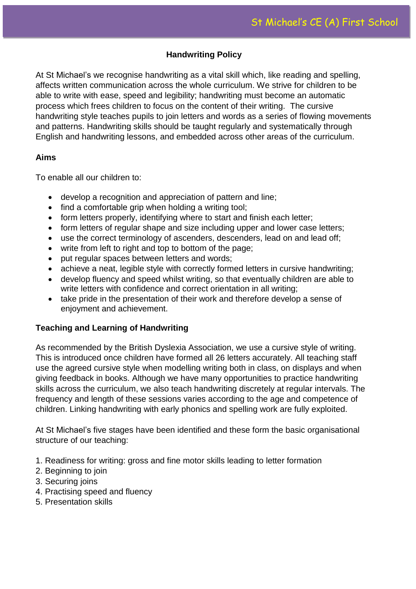## **Handwriting Policy**

At St Michael's we recognise handwriting as a vital skill which, like reading and spelling, affects written communication across the whole curriculum. We strive for children to be able to write with ease, speed and legibility; handwriting must become an automatic process which frees children to focus on the content of their writing. The cursive handwriting style teaches pupils to join letters and words as a series of flowing movements and patterns. Handwriting skills should be taught regularly and systematically through English and handwriting lessons, and embedded across other areas of the curriculum.

### **Aims**

To enable all our children to:

- develop a recognition and appreciation of pattern and line;
- find a comfortable grip when holding a writing tool;
- form letters properly, identifying where to start and finish each letter:
- form letters of regular shape and size including upper and lower case letters;
- use the correct terminology of ascenders, descenders, lead on and lead off;
- write from left to right and top to bottom of the page;
- put regular spaces between letters and words:
- achieve a neat, legible style with correctly formed letters in cursive handwriting;
- develop fluency and speed whilst writing, so that eventually children are able to write letters with confidence and correct orientation in all writing;
- take pride in the presentation of their work and therefore develop a sense of enjoyment and achievement.

# **Teaching and Learning of Handwriting**

As recommended by the British Dyslexia Association, we use a cursive style of writing. This is introduced once children have formed all 26 letters accurately. All teaching staff use the agreed cursive style when modelling writing both in class, on displays and when giving feedback in books. Although we have many opportunities to practice handwriting skills across the curriculum, we also teach handwriting discretely at regular intervals. The frequency and length of these sessions varies according to the age and competence of children. Linking handwriting with early phonics and spelling work are fully exploited.

At St Michael's five stages have been identified and these form the basic organisational structure of our teaching:

- 1. Readiness for writing: gross and fine motor skills leading to letter formation
- 2. Beginning to join
- 3. Securing joins
- 4. Practising speed and fluency
- 5. Presentation skills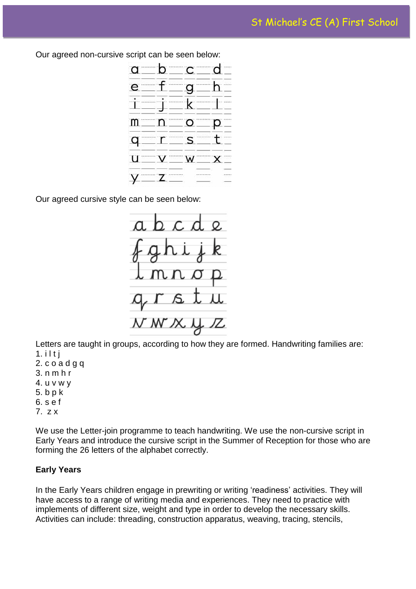Our agreed non-cursive script can be seen below:



Our agreed cursive style can be seen below:



Letters are taught in groups, according to how they are formed. Handwriting families are:  $1.$  i  $1$  t j

- 2. c o a d g q
- 3. n m h r
- 4. u v w y
- 5. b p k
- 6. s e f
- 7. z x

We use the Letter-join programme to teach handwriting. We use the non-cursive script in Early Years and introduce the cursive script in the Summer of Reception for those who are forming the 26 letters of the alphabet correctly.

### **Early Years**

In the Early Years children engage in prewriting or writing 'readiness' activities. They will have access to a range of writing media and experiences. They need to practice with implements of different size, weight and type in order to develop the necessary skills. Activities can include: threading, construction apparatus, weaving, tracing, stencils,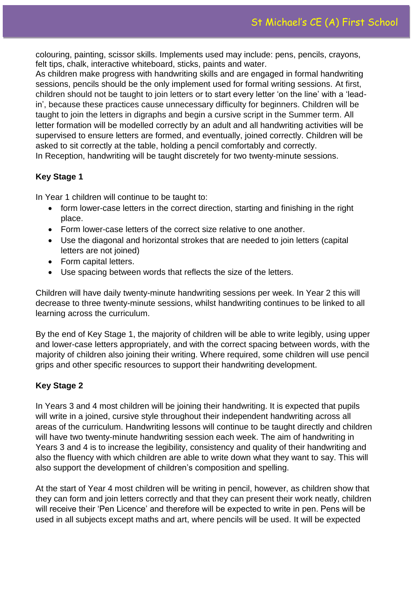colouring, painting, scissor skills. Implements used may include: pens, pencils, crayons, felt tips, chalk, interactive whiteboard, sticks, paints and water.

As children make progress with handwriting skills and are engaged in formal handwriting sessions, pencils should be the only implement used for formal writing sessions. At first, children should not be taught to join letters or to start every letter 'on the line' with a 'leadin', because these practices cause unnecessary difficulty for beginners. Children will be taught to join the letters in digraphs and begin a cursive script in the Summer term. All letter formation will be modelled correctly by an adult and all handwriting activities will be supervised to ensure letters are formed, and eventually, joined correctly. Children will be asked to sit correctly at the table, holding a pencil comfortably and correctly. In Reception, handwriting will be taught discretely for two twenty-minute sessions.

# **Key Stage 1**

In Year 1 children will continue to be taught to:

- form lower-case letters in the correct direction, starting and finishing in the right place.
- Form lower-case letters of the correct size relative to one another.
- Use the diagonal and horizontal strokes that are needed to join letters (capital letters are not joined)
- Form capital letters.
- Use spacing between words that reflects the size of the letters.

Children will have daily twenty-minute handwriting sessions per week. In Year 2 this will decrease to three twenty-minute sessions, whilst handwriting continues to be linked to all learning across the curriculum.

By the end of Key Stage 1, the majority of children will be able to write legibly, using upper and lower-case letters appropriately, and with the correct spacing between words, with the majority of children also joining their writing. Where required, some children will use pencil grips and other specific resources to support their handwriting development.

# **Key Stage 2**

In Years 3 and 4 most children will be joining their handwriting. It is expected that pupils will write in a joined, cursive style throughout their independent handwriting across all areas of the curriculum. Handwriting lessons will continue to be taught directly and children will have two twenty-minute handwriting session each week. The aim of handwriting in Years 3 and 4 is to increase the legibility, consistency and quality of their handwriting and also the fluency with which children are able to write down what they want to say. This will also support the development of children's composition and spelling.

At the start of Year 4 most children will be writing in pencil, however, as children show that they can form and join letters correctly and that they can present their work neatly, children will receive their 'Pen Licence' and therefore will be expected to write in pen. Pens will be used in all subjects except maths and art, where pencils will be used. It will be expected